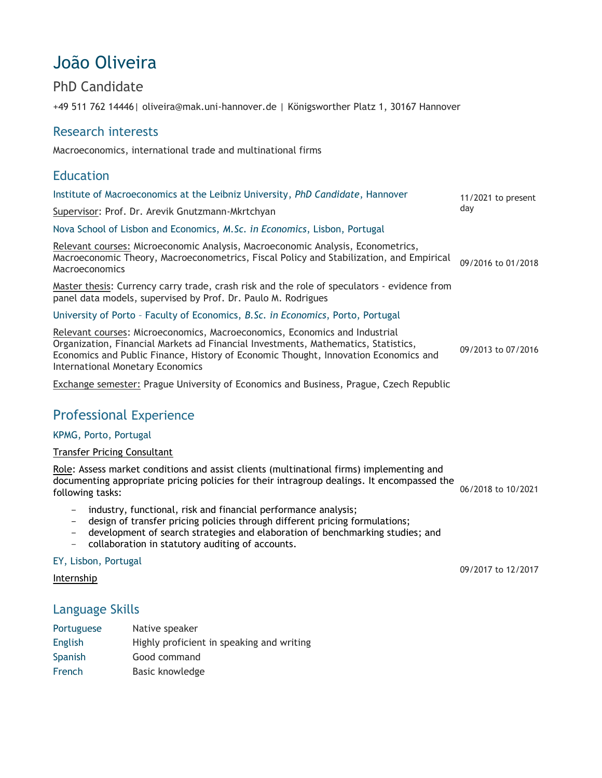# João Oliveira

### PhD Candidate

+49 511 762 14446| oliveira@mak.uni-hannover.de | Königsworther Platz 1, 30167 Hannover

### Research interests

Macroeconomics, international trade and multinational firms

#### Education Institute of Macroeconomics at the Leibniz University, *PhD Candidate*, Hannover Supervisor: Prof. Dr. Arevik Gnutzmann-Mkrtchyan 11/2021 to present day Nova School of Lisbon and Economics, *M.Sc. in Economics*, Lisbon, Portugal Relevant courses: Microeconomic Analysis, Macroeconomic Analysis, Econometrics, Macroeconomic Theory, Macroeconometrics, Fiscal Policy and Stabilization, and Empirical **Macroeconomics** Master thesis: Currency carry trade, crash risk and the role of speculators - evidence from panel data models, supervised by Prof. Dr. Paulo M. Rodrigues 09/2016 to 01/2018 University of Porto – Faculty of Economics, *B.Sc. in Economics*, Porto, Portugal Relevant courses: Microeconomics, Macroeconomics, Economics and Industrial

Organization, Financial Markets ad Financial Investments, Mathematics, Statistics, Economics and Public Finance, History of Economic Thought, Innovation Economics and International Monetary Economics 09/2013 to 07/2016

Exchange semester: Prague University of Economics and Business, Prague, Czech Republic

## Professional Experience

#### KPMG, Porto, Portugal

#### Transfer Pricing Consultant

| Role: Assess market conditions and assist clients (multinational firms) implementing and   |                    |
|--------------------------------------------------------------------------------------------|--------------------|
| documenting appropriate pricing policies for their intragroup dealings. It encompassed the | 06/2018 to 10/2021 |
| following tasks:                                                                           |                    |

- industry, functional, risk and financial performance analysis;
- design of transfer pricing policies through different pricing formulations;
- development of search strategies and elaboration of benchmarking studies; and
- collaboration in statutory auditing of accounts.

#### EY, Lisbon, Portugal

#### Internship

### Language Skills

| Portuguese     | Native speaker                            |
|----------------|-------------------------------------------|
| <b>English</b> | Highly proficient in speaking and writing |
| Spanish        | Good command                              |
| French         | Basic knowledge                           |

09/2017 to 12/2017